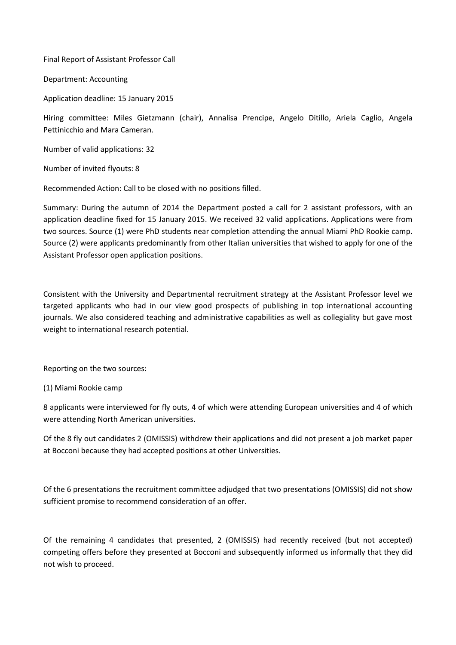Final Report of Assistant Professor Call

Department: Accounting

Application deadline: 15 January 2015

Hiring committee: Miles Gietzmann (chair), Annalisa Prencipe, Angelo Ditillo, Ariela Caglio, Angela Pettinicchio and Mara Cameran.

Number of valid applications: 32

Number of invited flyouts: 8

Recommended Action: Call to be closed with no positions filled.

Summary: During the autumn of 2014 the Department posted a call for 2 assistant professors, with an application deadline fixed for 15 January 2015. We received 32 valid applications. Applications were from two sources. Source (1) were PhD students near completion attending the annual Miami PhD Rookie camp. Source (2) were applicants predominantly from other Italian universities that wished to apply for one of the Assistant Professor open application positions.

Consistent with the University and Departmental recruitment strategy at the Assistant Professor level we targeted applicants who had in our view good prospects of publishing in top international accounting journals. We also considered teaching and administrative capabilities as well as collegiality but gave most weight to international research potential.

Reporting on the two sources:

(1) Miami Rookie camp

8 applicants were interviewed for fly outs, 4 of which were attending European universities and 4 of which were attending North American universities.

Of the 8 fly out candidates 2 (OMISSIS) withdrew their applications and did not present a job market paper at Bocconi because they had accepted positions at other Universities.

Of the 6 presentations the recruitment committee adjudged that two presentations (OMISSIS) did not show sufficient promise to recommend consideration of an offer.

Of the remaining 4 candidates that presented, 2 (OMISSIS) had recently received (but not accepted) competing offers before they presented at Bocconi and subsequently informed us informally that they did not wish to proceed.